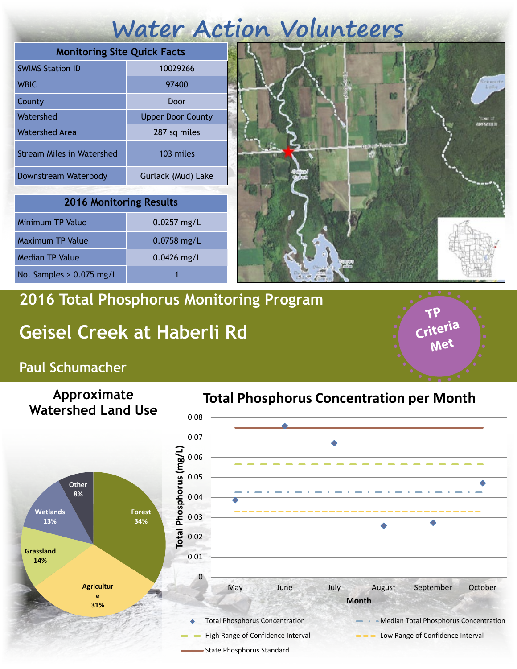# **Water Action Volunteers**

| <b>Monitoring Site Quick Facts</b> |                          |
|------------------------------------|--------------------------|
| <b>SWIMS Station ID</b>            | 10029266                 |
| <b>WBIC</b>                        | 97400                    |
| County                             | Door                     |
| Watershed                          | <b>Upper Door County</b> |
| Watershed Area                     | 287 sq miles             |
| <b>Stream Miles in Watershed</b>   | 103 miles                |
| Downstream Waterbody               | Gurlack (Mud) Lake       |

| <b>2016 Monitoring Results</b> |               |  |
|--------------------------------|---------------|--|
| <b>Minimum TP Value</b>        | $0.0257$ mg/L |  |
| <b>Maximum TP Value</b>        | $0.0758$ mg/L |  |
| <b>Median TP Value</b>         | $0.0426$ mg/L |  |
| No. Samples $> 0.075$ mg/L     |               |  |



**TP Criteria** 

**Met**

### **2016 Total Phosphorus Monitoring Program**

## **Geisel Creek at Haberli Rd**